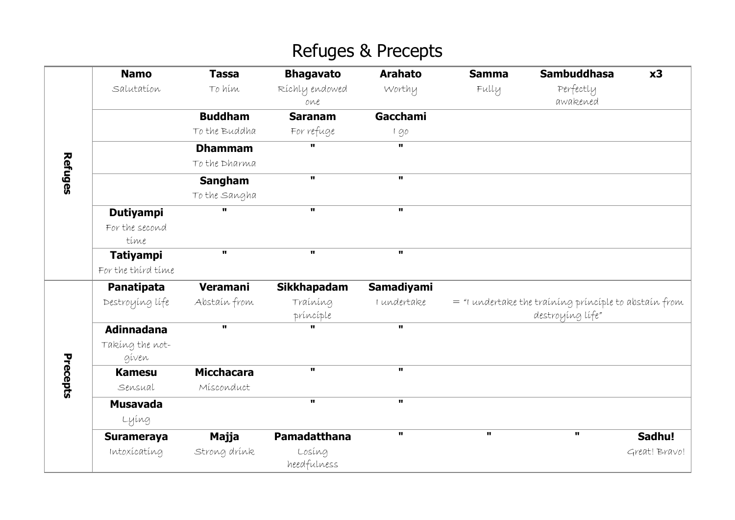# Refuges & Precepts

|          | <b>Namo</b>        | <b>Tassa</b>      | <b>Bhagavato</b>   | <b>Arahato</b>    | <b>Samma</b>                                            | <b>Sambuddhasa</b> | x3            |
|----------|--------------------|-------------------|--------------------|-------------------|---------------------------------------------------------|--------------------|---------------|
| Refuges  | Salutation         | To hím            | Ríchly endowed     | Worthy            | Fully                                                   | Perfectly          |               |
|          |                    |                   | one                |                   |                                                         | awakened           |               |
|          |                    | <b>Buddham</b>    | <b>Saranam</b>     | <b>Gacchami</b>   |                                                         |                    |               |
|          |                    | To the Buddha     | For refuge         | 190               |                                                         |                    |               |
|          |                    | <b>Dhammam</b>    | $\mathbf{u}$       | П.                |                                                         |                    |               |
|          |                    | To the Dharma     |                    |                   |                                                         |                    |               |
|          |                    | <b>Sangham</b>    | $\mathbf{u}$       | $\mathbf{u}$      |                                                         |                    |               |
|          |                    | To the Sangha     |                    |                   |                                                         |                    |               |
|          | <b>Dutiyampi</b>   | H.                | $\mathbf{u}$       | $\mathbf{u}$      |                                                         |                    |               |
|          | For the second     |                   |                    |                   |                                                         |                    |               |
|          | time               |                   |                    |                   |                                                         |                    |               |
|          | <b>Tatiyampi</b>   | $\mathbf{u}$      | $\mathbf{u}$       | $\mathbf{u}$      |                                                         |                    |               |
|          | For the third time |                   |                    |                   |                                                         |                    |               |
| Precepts | Panatipata         | <b>Veramani</b>   | <b>Sikkhapadam</b> | <b>Samadiyami</b> |                                                         |                    |               |
|          | Destroying life    | Abstain from      | Traíníng           | I undertake       | $=$ "I undertake the training principle to abstain from |                    |               |
|          |                    |                   | príncíple          |                   | destroying life"                                        |                    |               |
|          | <b>Adinnadana</b>  | $\mathbf{u}$      | $\mathbf{u}$       | $\mathbf{u}$      |                                                         |                    |               |
|          | Taking the not-    |                   |                    |                   |                                                         |                    |               |
|          | gíven              |                   |                    |                   |                                                         |                    |               |
|          | <b>Kamesu</b>      | <b>Micchacara</b> | $\mathbf{u}$       | $\mathbf{u}$      |                                                         |                    |               |
|          | Sensual            | Misconduct        |                    |                   |                                                         |                    |               |
|          | <b>Musavada</b>    |                   | $\mathbf{u}$       | $\mathbf{u}$      |                                                         |                    |               |
|          | Lying              |                   |                    |                   |                                                         |                    |               |
|          | <b>Surameraya</b>  | Majja             | Pamadatthana       | H.                | $\mathbf{u}$                                            | $\mathbf{u}$       | Sadhu!        |
|          | Intoxicating       | Strong drínk      | Losíng             |                   |                                                         |                    | Great! Bravo! |
|          |                    |                   | heedfulness        |                   |                                                         |                    |               |